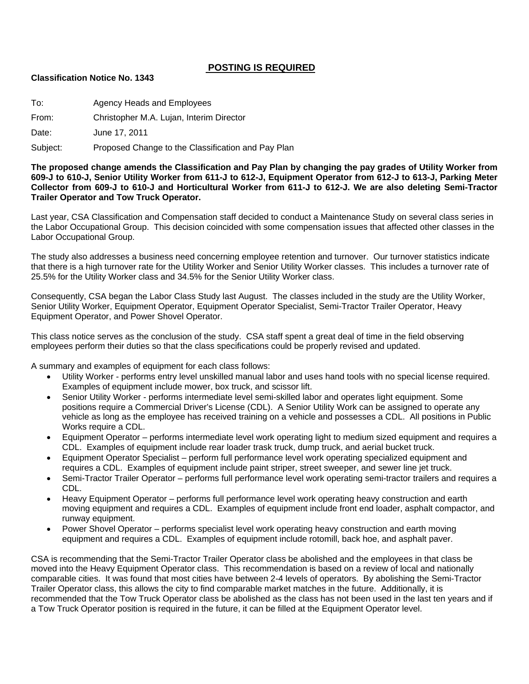## **POSTING IS REQUIRED**

#### **Classification Notice No. 1343**

To: Agency Heads and Employees

From: Christopher M.A. Lujan, Interim Director

Date: June 17, 2011

Subject: Proposed Change to the Classification and Pay Plan

**The proposed change amends the Classification and Pay Plan by changing the pay grades of Utility Worker from 609-J to 610-J, Senior Utility Worker from 611-J to 612-J, Equipment Operator from 612-J to 613-J, Parking Meter Collector from 609-J to 610-J and Horticultural Worker from 611-J to 612-J. We are also deleting Semi-Tractor Trailer Operator and Tow Truck Operator.** 

Last year, CSA Classification and Compensation staff decided to conduct a Maintenance Study on several class series in the Labor Occupational Group. This decision coincided with some compensation issues that affected other classes in the Labor Occupational Group.

The study also addresses a business need concerning employee retention and turnover. Our turnover statistics indicate that there is a high turnover rate for the Utility Worker and Senior Utility Worker classes. This includes a turnover rate of 25.5% for the Utility Worker class and 34.5% for the Senior Utility Worker class.

Consequently, CSA began the Labor Class Study last August. The classes included in the study are the Utility Worker, Senior Utility Worker, Equipment Operator, Equipment Operator Specialist, Semi-Tractor Trailer Operator, Heavy Equipment Operator, and Power Shovel Operator.

This class notice serves as the conclusion of the study. CSA staff spent a great deal of time in the field observing employees perform their duties so that the class specifications could be properly revised and updated.

A summary and examples of equipment for each class follows:

- Utility Worker performs entry level unskilled manual labor and uses hand tools with no special license required. Examples of equipment include mower, box truck, and scissor lift.
- Senior Utility Worker performs intermediate level semi-skilled labor and operates light equipment. Some positions require a Commercial Driver's License (CDL). A Senior Utility Work can be assigned to operate any vehicle as long as the employee has received training on a vehicle and possesses a CDL. All positions in Public Works require a CDL.
- Equipment Operator performs intermediate level work operating light to medium sized equipment and requires a CDL. Examples of equipment include rear loader trask truck, dump truck, and aerial bucket truck.
- Equipment Operator Specialist perform full performance level work operating specialized equipment and requires a CDL. Examples of equipment include paint striper, street sweeper, and sewer line jet truck.
- Semi-Tractor Trailer Operator performs full performance level work operating semi-tractor trailers and requires a CDL.
- Heavy Equipment Operator performs full performance level work operating heavy construction and earth moving equipment and requires a CDL. Examples of equipment include front end loader, asphalt compactor, and runway equipment.
- Power Shovel Operator performs specialist level work operating heavy construction and earth moving equipment and requires a CDL. Examples of equipment include rotomill, back hoe, and asphalt paver.

CSA is recommending that the Semi-Tractor Trailer Operator class be abolished and the employees in that class be moved into the Heavy Equipment Operator class. This recommendation is based on a review of local and nationally comparable cities. It was found that most cities have between 2-4 levels of operators. By abolishing the Semi-Tractor Trailer Operator class, this allows the city to find comparable market matches in the future. Additionally, it is recommended that the Tow Truck Operator class be abolished as the class has not been used in the last ten years and if a Tow Truck Operator position is required in the future, it can be filled at the Equipment Operator level.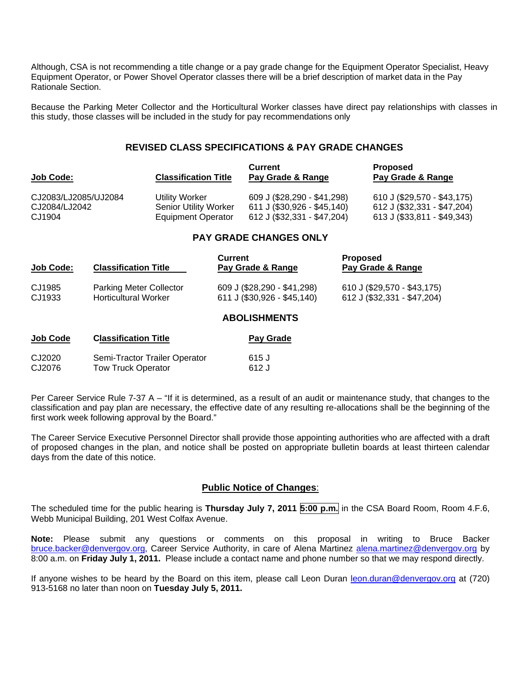Although, CSA is not recommending a title change or a pay grade change for the Equipment Operator Specialist, Heavy Equipment Operator, or Power Shovel Operator classes there will be a brief description of market data in the Pay Rationale Section.

Because the Parking Meter Collector and the Horticultural Worker classes have direct pay relationships with classes in this study, those classes will be included in the study for pay recommendations only

#### **REVISED CLASS SPECIFICATIONS & PAY GRADE CHANGES**

| <b>Job Code:</b>     | <b>Classification Title</b>  | <b>Current</b><br>Pay Grade & Range | <b>Proposed</b><br>Pay Grade & Range |
|----------------------|------------------------------|-------------------------------------|--------------------------------------|
| CJ2083/LJ2085/UJ2084 | Utility Worker               | 609 J (\$28,290 - \$41,298)         | 610 J (\$29,570 - \$43,175)          |
| CJ2084/LJ2042        | <b>Senior Utility Worker</b> | 611 J (\$30,926 - \$45,140)         | 612 J (\$32,331 - \$47,204)          |
| CJ1904               | <b>Equipment Operator</b>    | 612 J (\$32,331 - \$47,204)         | 613 J (\$33,811 - \$49,343)          |

## **PAY GRADE CHANGES ONLY**

| <b>Job Code:</b> | <b>Classification Title</b>                                   | Current<br>Pay Grade & Range                               | <b>Proposed</b><br>Pay Grade & Range                       |
|------------------|---------------------------------------------------------------|------------------------------------------------------------|------------------------------------------------------------|
| CJ1985<br>CJ1933 | <b>Parking Meter Collector</b><br><b>Horticultural Worker</b> | 609 J (\$28,290 - \$41,298)<br>611 J (\$30,926 - \$45,140) | 610 J (\$29,570 - \$43,175)<br>612 J (\$32,331 - \$47,204) |
|                  |                                                               | <b>ABOLISHMENTS</b>                                        |                                                            |

| <b>Job Code</b> | <b>Classification Title</b>   | Pay Grade |  |
|-----------------|-------------------------------|-----------|--|
| CJ2020          | Semi-Tractor Trailer Operator | 615 J     |  |
| CJ2076          | <b>Tow Truck Operator</b>     | 612 J     |  |

Per Career Service Rule 7-37 A – "If it is determined, as a result of an audit or maintenance study, that changes to the classification and pay plan are necessary, the effective date of any resulting re-allocations shall be the beginning of the first work week following approval by the Board."

The Career Service Executive Personnel Director shall provide those appointing authorities who are affected with a draft of proposed changes in the plan, and notice shall be posted on appropriate bulletin boards at least thirteen calendar days from the date of this notice.

#### **Public Notice of Changes**:

The scheduled time for the public hearing is **Thursday July 7, 2011 5:00 p.m.** in the CSA Board Room, Room 4.F.6, Webb Municipal Building, 201 West Colfax Avenue.

**Note:** Please submit any questions or comments on this proposal in writing to Bruce Backer [bruce.backer@denvergov.org,](mailto:bruce.backer@denvergov.org) Career Service Authority, in care of Alena Martinez [alena.martinez@denvergov.org](mailto:alena.martinez@denvergov.org) by 8:00 a.m. on **Friday July 1, 2011.** Please include a contact name and phone number so that we may respond directly.

If anyone wishes to be heard by the Board on this item, please call Leon Duran [leon.duran@denvergov.org](mailto:leon.duran@denvergov.org) at (720) 913-5168 no later than noon on **Tuesday July 5, 2011.**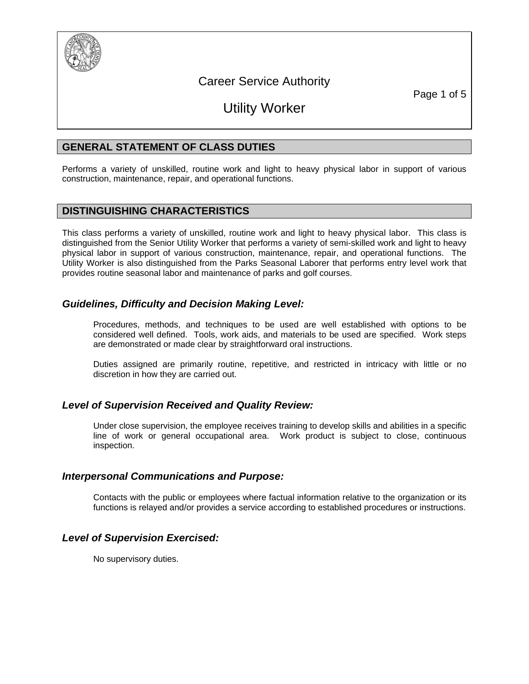

## Career Service Authority

Page 1 of 5

# Utility Worker

## **GENERAL STATEMENT OF CLASS DUTIES**

Performs a variety of unskilled, routine work and light to heavy physical labor in support of various construction, maintenance, repair, and operational functions.

## **DISTINGUISHING CHARACTERISTICS**

This class performs a variety of unskilled, routine work and light to heavy physical labor. This class is distinguished from the Senior Utility Worker that performs a variety of semi-skilled work and light to heavy physical labor in support of various construction, maintenance, repair, and operational functions. The Utility Worker is also distinguished from the Parks Seasonal Laborer that performs entry level work that provides routine seasonal labor and maintenance of parks and golf courses.

## *Guidelines, Difficulty and Decision Making Level:*

Procedures, methods, and techniques to be used are well established with options to be considered well defined. Tools, work aids, and materials to be used are specified. Work steps are demonstrated or made clear by straightforward oral instructions.

Duties assigned are primarily routine, repetitive, and restricted in intricacy with little or no discretion in how they are carried out.

## *Level of Supervision Received and Quality Review:*

Under close supervision, the employee receives training to develop skills and abilities in a specific line of work or general occupational area. Work product is subject to close, continuous inspection.

## *Interpersonal Communications and Purpose:*

Contacts with the public or employees where factual information relative to the organization or its functions is relayed and/or provides a service according to established procedures or instructions.

## *Level of Supervision Exercised:*

No supervisory duties.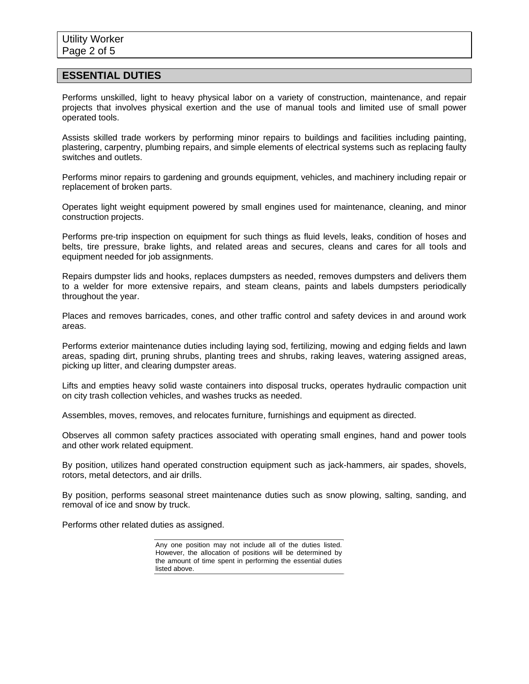#### **ESSENTIAL DUTIES**

Performs unskilled, light to heavy physical labor on a variety of construction, maintenance, and repair projects that involves physical exertion and the use of manual tools and limited use of small power operated tools.

Assists skilled trade workers by performing minor repairs to buildings and facilities including painting, plastering, carpentry, plumbing repairs, and simple elements of electrical systems such as replacing faulty switches and outlets.

Performs minor repairs to gardening and grounds equipment, vehicles, and machinery including repair or replacement of broken parts.

Operates light weight equipment powered by small engines used for maintenance, cleaning, and minor construction projects.

Performs pre-trip inspection on equipment for such things as fluid levels, leaks, condition of hoses and belts, tire pressure, brake lights, and related areas and secures, cleans and cares for all tools and equipment needed for job assignments.

Repairs dumpster lids and hooks, replaces dumpsters as needed, removes dumpsters and delivers them to a welder for more extensive repairs, and steam cleans, paints and labels dumpsters periodically throughout the year.

Places and removes barricades, cones, and other traffic control and safety devices in and around work areas.

Performs exterior maintenance duties including laying sod, fertilizing, mowing and edging fields and lawn areas, spading dirt, pruning shrubs, planting trees and shrubs, raking leaves, watering assigned areas, picking up litter, and clearing dumpster areas.

Lifts and empties heavy solid waste containers into disposal trucks, operates hydraulic compaction unit on city trash collection vehicles, and washes trucks as needed.

Assembles, moves, removes, and relocates furniture, furnishings and equipment as directed.

Observes all common safety practices associated with operating small engines, hand and power tools and other work related equipment.

By position, utilizes hand operated construction equipment such as jack-hammers, air spades, shovels, rotors, metal detectors, and air drills.

By position, performs seasonal street maintenance duties such as snow plowing, salting, sanding, and removal of ice and snow by truck.

Performs other related duties as assigned.

Any one position may not include all of the duties listed. However, the allocation of positions will be determined by the amount of time spent in performing the essential duties listed above.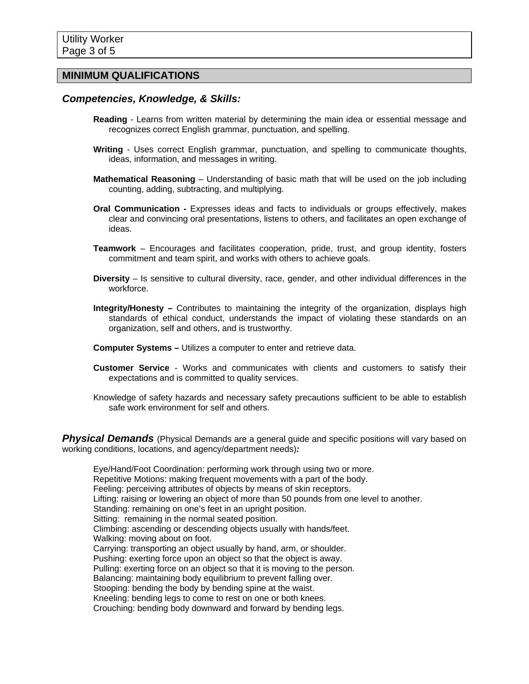### **MINIMUM QUALIFICATIONS**

## *Competencies, Knowledge, & Skills:*

- **Reading** Learns from written material by determining the main idea or essential message and recognizes correct English grammar, punctuation, and spelling.
- **Writing** Uses correct English grammar, punctuation, and spelling to communicate thoughts, ideas, information, and messages in writing.
- **Mathematical Reasoning** Understanding of basic math that will be used on the job including counting, adding, subtracting, and multiplying.
- **Oral Communication** Expresses ideas and facts to individuals or groups effectively, makes clear and convincing oral presentations, listens to others, and facilitates an open exchange of ideas.
- **Teamwork** Encourages and facilitates cooperation, pride, trust, and group identity, fosters commitment and team spirit, and works with others to achieve goals.
- **Diversity** Is sensitive to cultural diversity, race, gender, and other individual differences in the workforce.
- **Integrity/Honesty** Contributes to maintaining the integrity of the organization, displays high standards of ethical conduct, understands the impact of violating these standards on an organization, self and others, and is trustworthy.
- **Computer Systems** Utilizes a computer to enter and retrieve data.
- **Customer Service** Works and communicates with clients and customers to satisfy their expectations and is committed to quality services.
- Knowledge of safety hazards and necessary safety precautions sufficient to be able to establish safe work environment for self and others.

**Physical Demands** (Physical Demands are a general quide and specific positions will vary based on working conditions, locations, and agency/department needs)*:* 

Eye/Hand/Foot Coordination: performing work through using two or more. Repetitive Motions: making frequent movements with a part of the body. Feeling: perceiving attributes of objects by means of skin receptors. Lifting: raising or lowering an object of more than 50 pounds from one level to another. Standing: remaining on one's feet in an upright position. Sitting: remaining in the normal seated position. Climbing: ascending or descending objects usually with hands/feet. Walking: moving about on foot. Carrying: transporting an object usually by hand, arm, or shoulder. Pushing: exerting force upon an object so that the object is away. Pulling: exerting force on an object so that it is moving to the person. Balancing: maintaining body equilibrium to prevent falling over. Stooping: bending the body by bending spine at the waist. Kneeling: bending legs to come to rest on one or both knees. Crouching: bending body downward and forward by bending legs.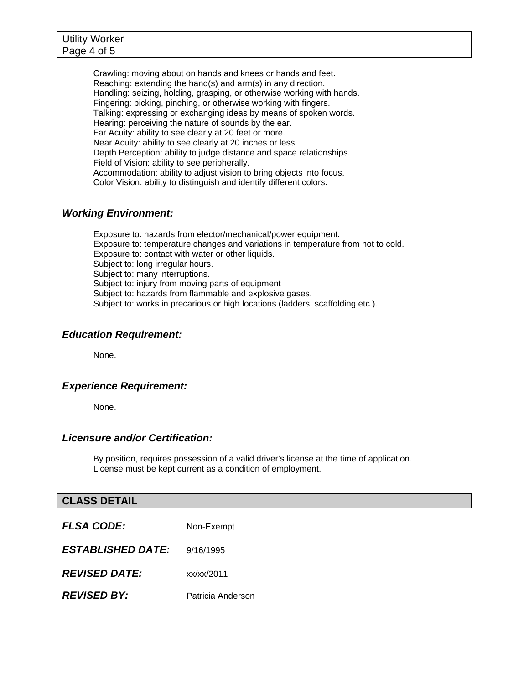Crawling: moving about on hands and knees or hands and feet. Reaching: extending the hand(s) and arm(s) in any direction. Handling: seizing, holding, grasping, or otherwise working with hands. Fingering: picking, pinching, or otherwise working with fingers. Talking: expressing or exchanging ideas by means of spoken words. Hearing: perceiving the nature of sounds by the ear. Far Acuity: ability to see clearly at 20 feet or more. Near Acuity: ability to see clearly at 20 inches or less. Depth Perception: ability to judge distance and space relationships. Field of Vision: ability to see peripherally. Accommodation: ability to adjust vision to bring objects into focus. Color Vision: ability to distinguish and identify different colors.

## *Working Environment:*

Exposure to: hazards from elector/mechanical/power equipment. Exposure to: temperature changes and variations in temperature from hot to cold. Exposure to: contact with water or other liquids. Subject to: long irregular hours. Subject to: many interruptions. Subject to: injury from moving parts of equipment Subject to: hazards from flammable and explosive gases. Subject to: works in precarious or high locations (ladders, scaffolding etc.).

## *Education Requirement:*

None.

## *Experience Requirement:*

None.

## *Licensure and/or Certification:*

By position, requires possession of a valid driver's license at the time of application. License must be kept current as a condition of employment.

## **CLASS DETAIL**

| <b>FLSA CODE:</b>        | Non-Exempt        |
|--------------------------|-------------------|
| <b>ESTABLISHED DATE:</b> | 9/16/1995         |
| <b>REVISED DATE:</b>     | x / x / x / 2011  |
| <b>REVISED BY:</b>       | Patricia Anderson |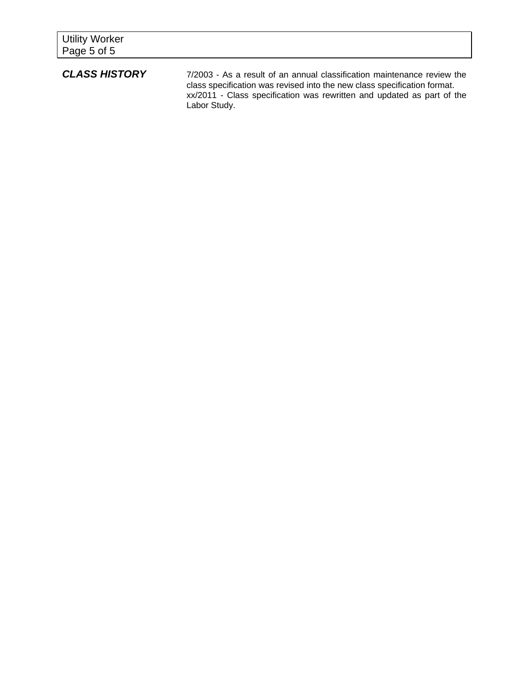| <b>Utility Worker</b><br>Page 5 of 5                                                                                    |                                    |                 |  |  |
|-------------------------------------------------------------------------------------------------------------------------|------------------------------------|-----------------|--|--|
| $\overline{a}$ $\overline{a}$ $\overline{a}$ $\overline{a}$ $\overline{a}$ $\overline{a}$ $\overline{a}$ $\overline{a}$ | $\sim$ $\sim$ $\sim$ $\sim$ $\sim$ | $\cdot$ $\cdot$ |  |  |

**CLASS HISTORY** 7/2003 - As a result of an annual classification maintenance review the class specification was revised into the new class specification format. xx/2011 - Class specification was rewritten and updated as part of the Labor Study.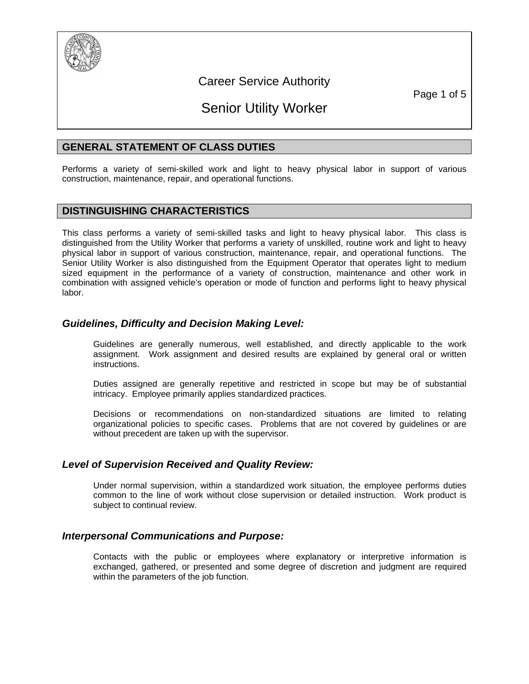

## Career Service Authority

Page 1 of 5

# Senior Utility Worker

## **GENERAL STATEMENT OF CLASS DUTIES**

Performs a variety of semi-skilled work and light to heavy physical labor in support of various construction, maintenance, repair, and operational functions.

## **DISTINGUISHING CHARACTERISTICS**

This class performs a variety of semi-skilled tasks and light to heavy physical labor. This class is distinguished from the Utility Worker that performs a variety of unskilled, routine work and light to heavy physical labor in support of various construction, maintenance, repair, and operational functions. The Senior Utility Worker is also distinguished from the Equipment Operator that operates light to medium sized equipment in the performance of a variety of construction, maintenance and other work in combination with assigned vehicle's operation or mode of function and performs light to heavy physical labor.

## *Guidelines, Difficulty and Decision Making Level:*

Guidelines are generally numerous, well established, and directly applicable to the work assignment. Work assignment and desired results are explained by general oral or written instructions.

Duties assigned are generally repetitive and restricted in scope but may be of substantial intricacy. Employee primarily applies standardized practices.

Decisions or recommendations on non-standardized situations are limited to relating organizational policies to specific cases. Problems that are not covered by guidelines or are without precedent are taken up with the supervisor.

## *Level of Supervision Received and Quality Review:*

Under normal supervision, within a standardized work situation, the employee performs duties common to the line of work without close supervision or detailed instruction. Work product is subject to continual review.

## *Interpersonal Communications and Purpose:*

Contacts with the public or employees where explanatory or interpretive information is exchanged, gathered, or presented and some degree of discretion and judgment are required within the parameters of the job function.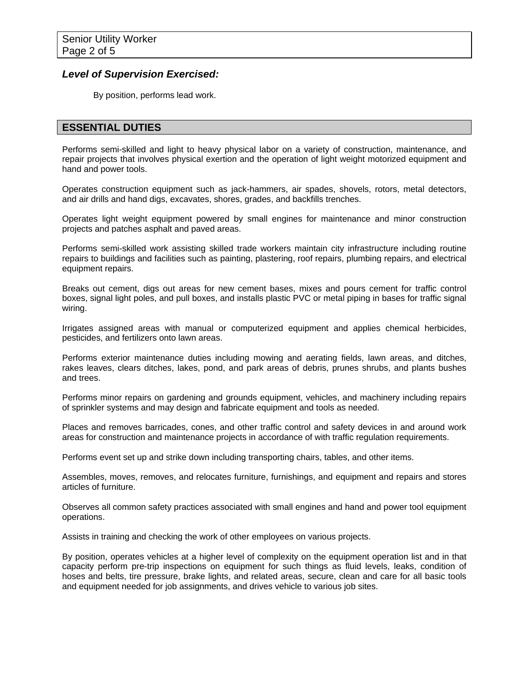### *Level of Supervision Exercised:*

By position, performs lead work.

## **ESSENTIAL DUTIES**

Performs semi-skilled and light to heavy physical labor on a variety of construction, maintenance, and repair projects that involves physical exertion and the operation of light weight motorized equipment and hand and power tools.

Operates construction equipment such as jack-hammers, air spades, shovels, rotors, metal detectors, and air drills and hand digs, excavates, shores, grades, and backfills trenches.

Operates light weight equipment powered by small engines for maintenance and minor construction projects and patches asphalt and paved areas.

Performs semi-skilled work assisting skilled trade workers maintain city infrastructure including routine repairs to buildings and facilities such as painting, plastering, roof repairs, plumbing repairs, and electrical equipment repairs.

Breaks out cement, digs out areas for new cement bases, mixes and pours cement for traffic control boxes, signal light poles, and pull boxes, and installs plastic PVC or metal piping in bases for traffic signal wiring.

Irrigates assigned areas with manual or computerized equipment and applies chemical herbicides, pesticides, and fertilizers onto lawn areas.

Performs exterior maintenance duties including mowing and aerating fields, lawn areas, and ditches, rakes leaves, clears ditches, lakes, pond, and park areas of debris, prunes shrubs, and plants bushes and trees.

Performs minor repairs on gardening and grounds equipment, vehicles, and machinery including repairs of sprinkler systems and may design and fabricate equipment and tools as needed.

Places and removes barricades, cones, and other traffic control and safety devices in and around work areas for construction and maintenance projects in accordance of with traffic regulation requirements.

Performs event set up and strike down including transporting chairs, tables, and other items.

Assembles, moves, removes, and relocates furniture, furnishings, and equipment and repairs and stores articles of furniture.

Observes all common safety practices associated with small engines and hand and power tool equipment operations.

Assists in training and checking the work of other employees on various projects.

By position, operates vehicles at a higher level of complexity on the equipment operation list and in that capacity perform pre-trip inspections on equipment for such things as fluid levels, leaks, condition of hoses and belts, tire pressure, brake lights, and related areas, secure, clean and care for all basic tools and equipment needed for job assignments, and drives vehicle to various job sites.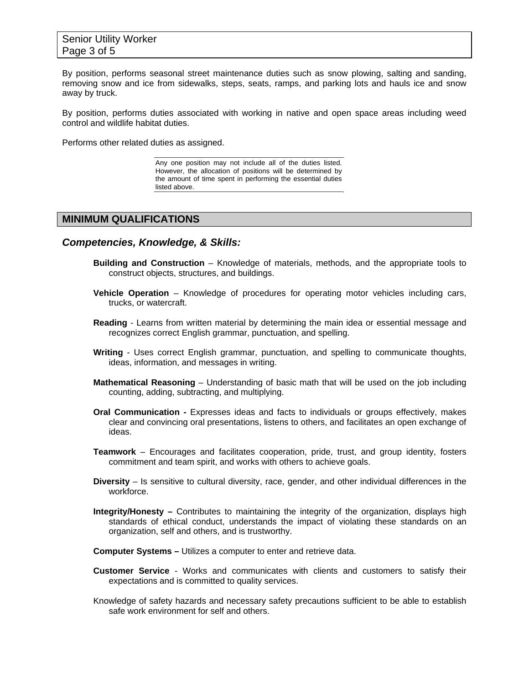By position, performs seasonal street maintenance duties such as snow plowing, salting and sanding, removing snow and ice from sidewalks, steps, seats, ramps, and parking lots and hauls ice and snow away by truck.

By position, performs duties associated with working in native and open space areas including weed control and wildlife habitat duties.

Performs other related duties as assigned.

Any one position may not include all of the duties listed. However, the allocation of positions will be determined by the amount of time spent in performing the essential duties listed above.

#### **MINIMUM QUALIFICATIONS**

#### *Competencies, Knowledge, & Skills:*

- **Building and Construction** Knowledge of materials, methods, and the appropriate tools to construct objects, structures, and buildings.
- **Vehicle Operation** Knowledge of procedures for operating motor vehicles including cars, trucks, or watercraft.
- **Reading** Learns from written material by determining the main idea or essential message and recognizes correct English grammar, punctuation, and spelling.
- **Writing** Uses correct English grammar, punctuation, and spelling to communicate thoughts, ideas, information, and messages in writing.
- **Mathematical Reasoning** Understanding of basic math that will be used on the job including counting, adding, subtracting, and multiplying.
- **Oral Communication** Expresses ideas and facts to individuals or groups effectively, makes clear and convincing oral presentations, listens to others, and facilitates an open exchange of ideas.
- **Teamwork** Encourages and facilitates cooperation, pride, trust, and group identity, fosters commitment and team spirit, and works with others to achieve goals.
- **Diversity** Is sensitive to cultural diversity, race, gender, and other individual differences in the workforce.
- **Integrity/Honesty** Contributes to maintaining the integrity of the organization, displays high standards of ethical conduct, understands the impact of violating these standards on an organization, self and others, and is trustworthy.
- **Computer Systems** Utilizes a computer to enter and retrieve data.
- **Customer Service** Works and communicates with clients and customers to satisfy their expectations and is committed to quality services.
- Knowledge of safety hazards and necessary safety precautions sufficient to be able to establish safe work environment for self and others.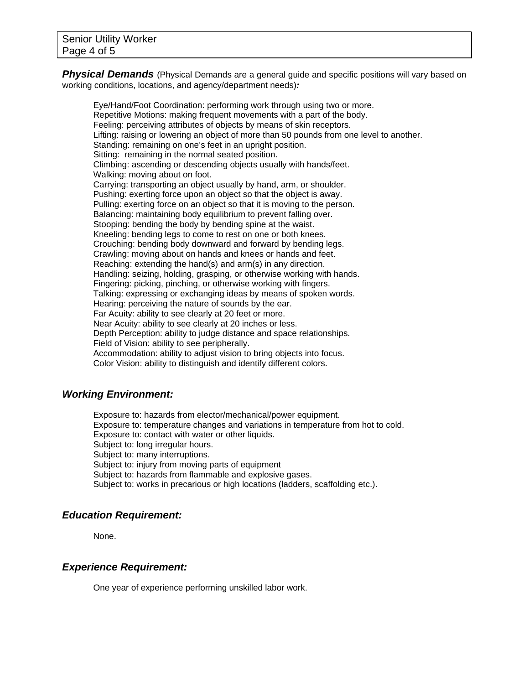**Physical Demands** (Physical Demands are a general quide and specific positions will vary based on working conditions, locations, and agency/department needs)*:* 

Eye/Hand/Foot Coordination: performing work through using two or more. Repetitive Motions: making frequent movements with a part of the body. Feeling: perceiving attributes of objects by means of skin receptors. Lifting: raising or lowering an object of more than 50 pounds from one level to another. Standing: remaining on one's feet in an upright position. Sitting: remaining in the normal seated position. Climbing: ascending or descending objects usually with hands/feet. Walking: moving about on foot. Carrying: transporting an object usually by hand, arm, or shoulder. Pushing: exerting force upon an object so that the object is away. Pulling: exerting force on an object so that it is moving to the person. Balancing: maintaining body equilibrium to prevent falling over. Stooping: bending the body by bending spine at the waist. Kneeling: bending legs to come to rest on one or both knees. Crouching: bending body downward and forward by bending legs. Crawling: moving about on hands and knees or hands and feet. Reaching: extending the hand(s) and arm(s) in any direction. Handling: seizing, holding, grasping, or otherwise working with hands. Fingering: picking, pinching, or otherwise working with fingers. Talking: expressing or exchanging ideas by means of spoken words. Hearing: perceiving the nature of sounds by the ear. Far Acuity: ability to see clearly at 20 feet or more. Near Acuity: ability to see clearly at 20 inches or less. Depth Perception: ability to judge distance and space relationships. Field of Vision: ability to see peripherally. Accommodation: ability to adjust vision to bring objects into focus. Color Vision: ability to distinguish and identify different colors.

## *Working Environment:*

Exposure to: hazards from elector/mechanical/power equipment. Exposure to: temperature changes and variations in temperature from hot to cold. Exposure to: contact with water or other liquids. Subject to: long irregular hours. Subject to: many interruptions. Subject to: injury from moving parts of equipment Subject to: hazards from flammable and explosive gases. Subject to: works in precarious or high locations (ladders, scaffolding etc.).

#### *Education Requirement:*

None.

#### *Experience Requirement:*

One year of experience performing unskilled labor work.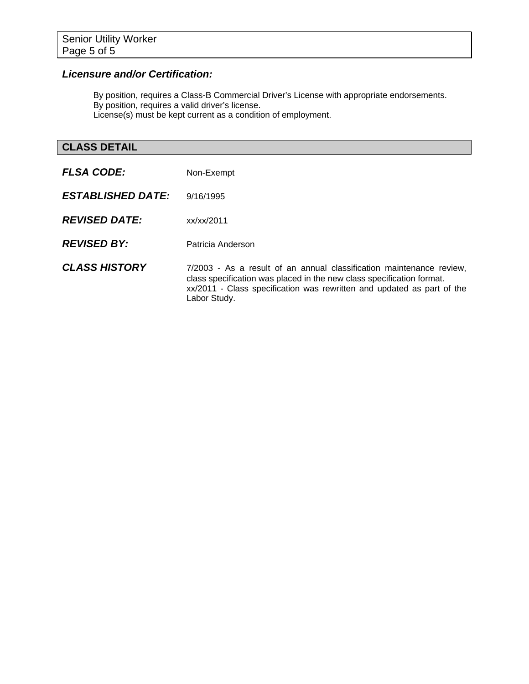## *Licensure and/or Certification:*

By position, requires a Class-B Commercial Driver's License with appropriate endorsements. By position, requires a valid driver's license. License(s) must be kept current as a condition of employment.

## **CLASS DETAIL**

| <b>FLSA CODE:</b>        | Non-Exempt                                                                                                                                                                                                                              |
|--------------------------|-----------------------------------------------------------------------------------------------------------------------------------------------------------------------------------------------------------------------------------------|
| <b>ESTABLISHED DATE:</b> | 9/16/1995                                                                                                                                                                                                                               |
| <b>REVISED DATE:</b>     | xx/xx/2011                                                                                                                                                                                                                              |
| <b>REVISED BY:</b>       | Patricia Anderson                                                                                                                                                                                                                       |
| <b>CLASS HISTORY</b>     | 7/2003 - As a result of an annual classification maintenance review,<br>class specification was placed in the new class specification format.<br>xx/2011 - Class specification was rewritten and updated as part of the<br>Labor Study. |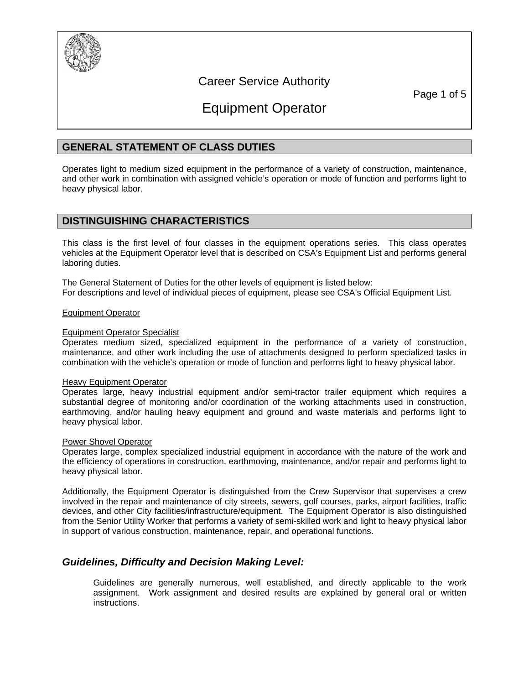

## Career Service Authority

Page 1 of 5

# Equipment Operator

## **GENERAL STATEMENT OF CLASS DUTIES**

Operates light to medium sized equipment in the performance of a variety of construction, maintenance, and other work in combination with assigned vehicle's operation or mode of function and performs light to heavy physical labor.

### **DISTINGUISHING CHARACTERISTICS**

This class is the first level of four classes in the equipment operations series. This class operates vehicles at the Equipment Operator level that is described on CSA's Equipment List and performs general laboring duties.

The General Statement of Duties for the other levels of equipment is listed below: For descriptions and level of individual pieces of equipment, please see CSA's Official Equipment List.

#### Equipment Operator

#### Equipment Operator Specialist

Operates medium sized, specialized equipment in the performance of a variety of construction, maintenance, and other work including the use of attachments designed to perform specialized tasks in combination with the vehicle's operation or mode of function and performs light to heavy physical labor.

#### Heavy Equipment Operator

Operates large, heavy industrial equipment and/or semi-tractor trailer equipment which requires a substantial degree of monitoring and/or coordination of the working attachments used in construction, earthmoving, and/or hauling heavy equipment and ground and waste materials and performs light to heavy physical labor.

#### Power Shovel Operator

Operates large, complex specialized industrial equipment in accordance with the nature of the work and the efficiency of operations in construction, earthmoving, maintenance, and/or repair and performs light to heavy physical labor.

Additionally, the Equipment Operator is distinguished from the Crew Supervisor that supervises a crew involved in the repair and maintenance of city streets, sewers, golf courses, parks, airport facilities, traffic devices, and other City facilities/infrastructure/equipment. The Equipment Operator is also distinguished from the Senior Utility Worker that performs a variety of semi-skilled work and light to heavy physical labor in support of various construction, maintenance, repair, and operational functions.

## *Guidelines, Difficulty and Decision Making Level:*

Guidelines are generally numerous, well established, and directly applicable to the work assignment. Work assignment and desired results are explained by general oral or written instructions.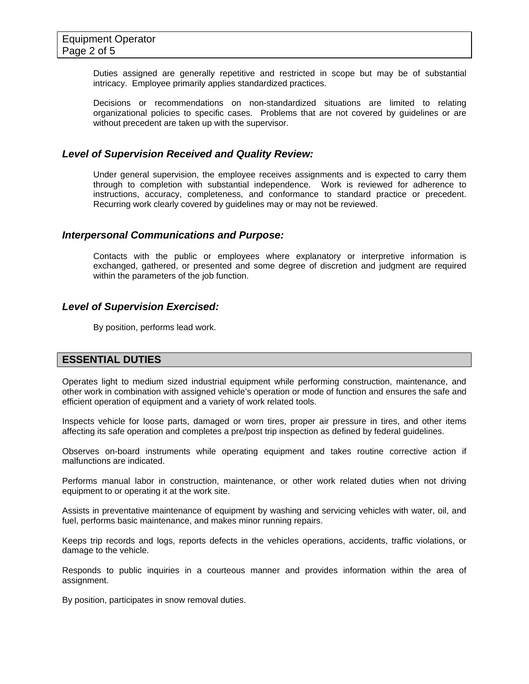Duties assigned are generally repetitive and restricted in scope but may be of substantial intricacy. Employee primarily applies standardized practices.

Decisions or recommendations on non-standardized situations are limited to relating organizational policies to specific cases. Problems that are not covered by guidelines or are without precedent are taken up with the supervisor.

#### *Level of Supervision Received and Quality Review:*

Under general supervision, the employee receives assignments and is expected to carry them through to completion with substantial independence. Work is reviewed for adherence to instructions, accuracy, completeness, and conformance to standard practice or precedent. Recurring work clearly covered by guidelines may or may not be reviewed.

#### *Interpersonal Communications and Purpose:*

Contacts with the public or employees where explanatory or interpretive information is exchanged, gathered, or presented and some degree of discretion and judgment are required within the parameters of the job function.

#### *Level of Supervision Exercised:*

By position, performs lead work.

#### **ESSENTIAL DUTIES**

Operates light to medium sized industrial equipment while performing construction, maintenance, and other work in combination with assigned vehicle's operation or mode of function and ensures the safe and efficient operation of equipment and a variety of work related tools.

Inspects vehicle for loose parts, damaged or worn tires, proper air pressure in tires, and other items affecting its safe operation and completes a pre/post trip inspection as defined by federal guidelines.

Observes on-board instruments while operating equipment and takes routine corrective action if malfunctions are indicated.

Performs manual labor in construction, maintenance, or other work related duties when not driving equipment to or operating it at the work site.

Assists in preventative maintenance of equipment by washing and servicing vehicles with water, oil, and fuel, performs basic maintenance, and makes minor running repairs.

Keeps trip records and logs, reports defects in the vehicles operations, accidents, traffic violations, or damage to the vehicle.

Responds to public inquiries in a courteous manner and provides information within the area of assignment.

By position, participates in snow removal duties.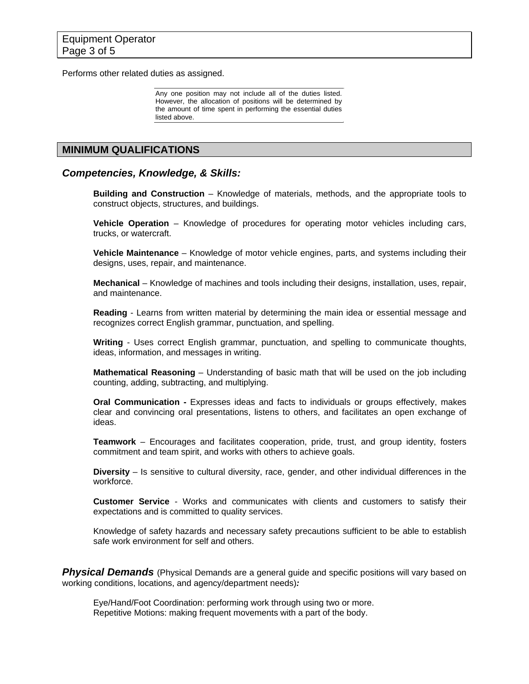Performs other related duties as assigned.

Any one position may not include all of the duties listed. However, the allocation of positions will be determined by the amount of time spent in performing the essential duties listed above.

### **MINIMUM QUALIFICATIONS**

#### *Competencies, Knowledge, & Skills:*

**Building and Construction** – Knowledge of materials, methods, and the appropriate tools to construct objects, structures, and buildings.

**Vehicle Operation** – Knowledge of procedures for operating motor vehicles including cars, trucks, or watercraft.

**Vehicle Maintenance** – Knowledge of motor vehicle engines, parts, and systems including their designs, uses, repair, and maintenance.

**Mechanical** – Knowledge of machines and tools including their designs, installation, uses, repair, and maintenance.

**Reading** - Learns from written material by determining the main idea or essential message and recognizes correct English grammar, punctuation, and spelling.

**Writing** - Uses correct English grammar, punctuation, and spelling to communicate thoughts, ideas, information, and messages in writing.

**Mathematical Reasoning** – Understanding of basic math that will be used on the job including counting, adding, subtracting, and multiplying.

**Oral Communication -** Expresses ideas and facts to individuals or groups effectively, makes clear and convincing oral presentations, listens to others, and facilitates an open exchange of ideas.

**Teamwork** – Encourages and facilitates cooperation, pride, trust, and group identity, fosters commitment and team spirit, and works with others to achieve goals.

**Diversity** – Is sensitive to cultural diversity, race, gender, and other individual differences in the workforce.

**Customer Service** - Works and communicates with clients and customers to satisfy their expectations and is committed to quality services.

Knowledge of safety hazards and necessary safety precautions sufficient to be able to establish safe work environment for self and others.

**Physical Demands** (Physical Demands are a general guide and specific positions will vary based on working conditions, locations, and agency/department needs)*:* 

Eye/Hand/Foot Coordination: performing work through using two or more. Repetitive Motions: making frequent movements with a part of the body.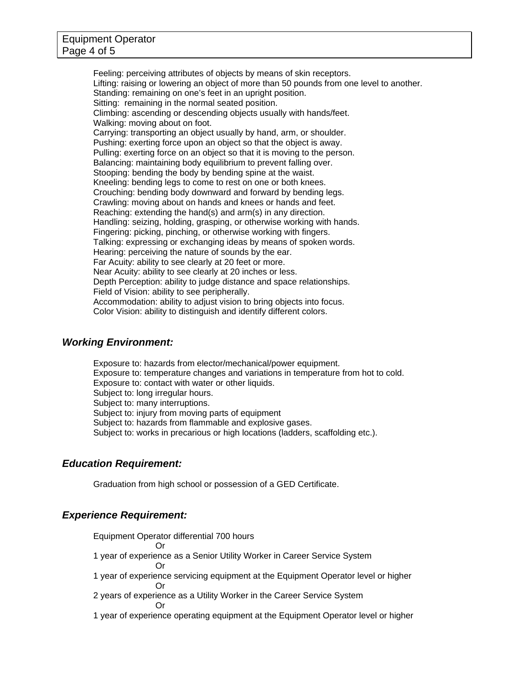Feeling: perceiving attributes of objects by means of skin receptors. Lifting: raising or lowering an object of more than 50 pounds from one level to another. Standing: remaining on one's feet in an upright position. Sitting: remaining in the normal seated position. Climbing: ascending or descending objects usually with hands/feet. Walking: moving about on foot. Carrying: transporting an object usually by hand, arm, or shoulder. Pushing: exerting force upon an object so that the object is away. Pulling: exerting force on an object so that it is moving to the person. Balancing: maintaining body equilibrium to prevent falling over. Stooping: bending the body by bending spine at the waist. Kneeling: bending legs to come to rest on one or both knees. Crouching: bending body downward and forward by bending legs. Crawling: moving about on hands and knees or hands and feet. Reaching: extending the hand(s) and arm(s) in any direction. Handling: seizing, holding, grasping, or otherwise working with hands. Fingering: picking, pinching, or otherwise working with fingers. Talking: expressing or exchanging ideas by means of spoken words. Hearing: perceiving the nature of sounds by the ear. Far Acuity: ability to see clearly at 20 feet or more. Near Acuity: ability to see clearly at 20 inches or less. Depth Perception: ability to judge distance and space relationships. Field of Vision: ability to see peripherally. Accommodation: ability to adjust vision to bring objects into focus. Color Vision: ability to distinguish and identify different colors.

### *Working Environment:*

Exposure to: hazards from elector/mechanical/power equipment. Exposure to: temperature changes and variations in temperature from hot to cold. Exposure to: contact with water or other liquids. Subject to: long irregular hours. Subject to: many interruptions. Subject to: injury from moving parts of equipment Subject to: hazards from flammable and explosive gases. Subject to: works in precarious or high locations (ladders, scaffolding etc.).

## *Education Requirement:*

Graduation from high school or possession of a GED Certificate.

## *Experience Requirement:*

Equipment Operator differential 700 hours

 Or 1 year of experience as a Senior Utility Worker in Career Service System Or

- 1 year of experience servicing equipment at the Equipment Operator level or higher Or
- 2 years of experience as a Utility Worker in the Career Service System Or
	-
- 1 year of experience operating equipment at the Equipment Operator level or higher